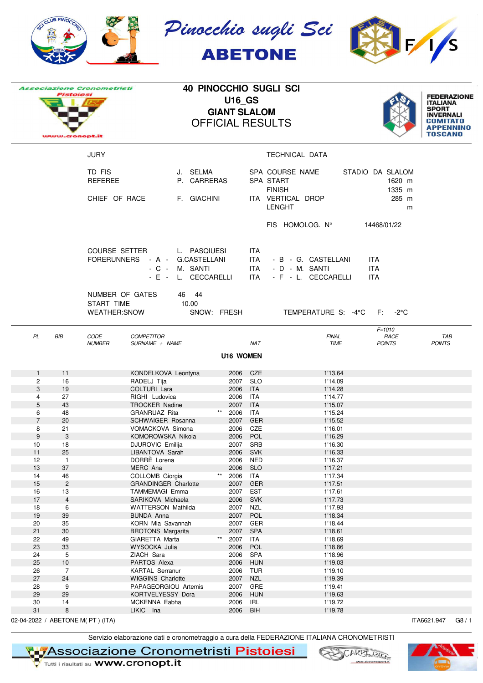|                     | CLUB PINOC                |                                                      |                                                                                 |       |                                      |                                | Pinocchio sugli Sci<br><b>ABETONE</b>                        |                                      |                                                                                      |
|---------------------|---------------------------|------------------------------------------------------|---------------------------------------------------------------------------------|-------|--------------------------------------|--------------------------------|--------------------------------------------------------------|--------------------------------------|--------------------------------------------------------------------------------------|
|                     | Pistolesi                 | <b>Associazione Cronometristi</b><br>w.cronopt.it    |                                                                                 |       | <b>U16_GS</b><br><b>GIANT SLALOM</b> |                                | <b>40 PINOCCHIO SUGLI SCI</b><br><b>OFFICIAL RESULTS</b>     |                                      | <b>FEDERAZIONE</b><br><b>ITALIANA</b><br><b>SPORT</b><br><b>INVERNALI</b><br>TOSCANO |
|                     |                           | <b>JURY</b>                                          |                                                                                 |       |                                      |                                | TECHNICAL DATA                                               |                                      |                                                                                      |
|                     |                           | TD FIS<br><b>REFEREE</b>                             | J. SELMA<br>P. CARRERAS                                                         |       |                                      |                                | SPA COURSE NAME<br>SPA START<br><b>FINISH</b>                | STADIO DA SLALOM<br>1620 m<br>1335 m |                                                                                      |
|                     |                           | CHIEF OF RACE                                        | F. GIACHINI                                                                     |       |                                      |                                | ITA VERTICAL DROP<br><b>LENGHT</b>                           | 285 m<br>m                           |                                                                                      |
|                     |                           |                                                      |                                                                                 |       |                                      |                                | FIS HOMOLOG. N°                                              | 14468/01/22                          |                                                                                      |
|                     |                           | <b>COURSE SETTER</b><br><b>FORERUNNERS</b>           | L. PASQIUESI<br>- A - G.CASTELLANI<br>M. SANTI<br>$-C -$<br>- E - L. CECCARELLI |       |                                      | ITA.<br>ITA I<br>ITA I<br>ITA. | - B - G. CASTELLANI<br>- D - M. SANTI<br>- F - L. CECCARELLI | ITA.<br><b>ITA</b><br><b>ITA</b>     |                                                                                      |
|                     |                           | NUMBER OF GATES<br>START TIME<br><b>WEATHER:SNOW</b> | 46 44<br>10.00                                                                  |       | SNOW: FRESH                          |                                | TEMPERATURE S: -4°C                                          | $F: -2^{\circ}C$                     |                                                                                      |
| PL                  | BIB                       | <b>CODE</b><br><b>NUMBER</b>                         | <b>COMPETITOR</b><br>SURNAME + NAME                                             |       |                                      | <b>NAT</b>                     | <b>FINAL</b><br><b>TIME</b>                                  | $F = 1010$<br>RACE<br><b>POINTS</b>  | TAB<br><b>POINTS</b>                                                                 |
|                     |                           |                                                      |                                                                                 |       | <b>U16 WOMEN</b>                     |                                |                                                              |                                      |                                                                                      |
| $\mathbf{1}$        | 11                        |                                                      | KONDELKOVA Leontyna                                                             |       |                                      | 2006 CZE                       | 1'13.64                                                      |                                      |                                                                                      |
| 2<br>3              | 16<br>19                  |                                                      | RADELJ Tija<br>COLTURI Lara                                                     |       | 2007<br>2006                         | <b>SLO</b><br>ITA              | 1'14.09<br>1'14.28                                           |                                      |                                                                                      |
| 4                   | 27                        |                                                      | RIGHI Ludovica                                                                  |       | 2006                                 | ITA                            | 1'14.77                                                      |                                      |                                                                                      |
| $\mathbf 5$         | 43                        |                                                      | <b>TROCKER Nadine</b>                                                           |       | 2007                                 | <b>ITA</b>                     | 1'15.07                                                      |                                      |                                                                                      |
| 6<br>$\overline{7}$ | 48                        |                                                      | <b>GRANRUAZ Rita</b>                                                            | $***$ | 2006                                 | ITA                            | 1'15.24                                                      |                                      |                                                                                      |
| 8                   | 20<br>21                  |                                                      | SCHWAIGER Rosanna<br>VOMACKOVA Simona                                           |       | 2007<br>2006                         | GER<br>CZE                     | 1'15.52<br>1'16.01                                           |                                      |                                                                                      |
| $\boldsymbol{9}$    | $\ensuremath{\mathsf{3}}$ |                                                      | KOMOROWSKA Nikola                                                               |       | 2006                                 | POL                            | 1'16.29                                                      |                                      |                                                                                      |
| 10                  | 18                        |                                                      | <b>DJUROVIC Emilija</b>                                                         |       |                                      | 2007 SRB                       | 1'16.30                                                      |                                      |                                                                                      |
| 11<br>12            | 25<br>$\mathbf{1}$        |                                                      | LIBANTOVA Sarah<br>DORRÈ Lorena                                                 |       | 2006<br>2006                         | SVK<br><b>NED</b>              | 1'16.33<br>1'16.37                                           |                                      |                                                                                      |
| 13                  | 37                        |                                                      | MERC Ana                                                                        |       | 2006                                 | <b>SLO</b>                     | 1'17.21                                                      |                                      |                                                                                      |
| 14                  | 46                        |                                                      | COLLOMB Giorgia                                                                 | $***$ | 2006                                 | ITA                            | 1'17.34                                                      |                                      |                                                                                      |
| 15                  | $\overline{2}$            |                                                      | <b>GRANDINGER Charlotte</b>                                                     |       | 2007                                 | GER                            | 1'17.51                                                      |                                      |                                                                                      |
| 16<br>$17$          | $13$<br>$\sqrt{4}$        |                                                      | TAMMEMAGI Emma<br>SARIKOVA Michaela                                             |       | 2007<br>2006                         | EST<br><b>SVK</b>              | 1'17.61<br>1'17.73                                           |                                      |                                                                                      |
| 18                  | 6                         |                                                      | WATTERSON Mathilda                                                              |       |                                      | 2007 NZL                       | 1'17.93                                                      |                                      |                                                                                      |
| 19                  | 39                        |                                                      | <b>BUNDA Anna</b>                                                               |       | 2007                                 | POL                            | 1'18.34                                                      |                                      |                                                                                      |
| 20                  | 35                        |                                                      | KORN Mia Savannah                                                               |       | 2007                                 | GER                            | 1'18.44                                                      |                                      |                                                                                      |
| 21<br>22            | 30<br>49                  |                                                      | <b>BROTONS Margarita</b><br>GIARETTA Marta                                      | $***$ | 2007                                 | 2007 SPA<br>ITA                | 1'18.61<br>1'18.69                                           |                                      |                                                                                      |
| 23                  | 33                        |                                                      | WYSOCKA Julia                                                                   |       | 2006                                 | POL                            | 1'18.86                                                      |                                      |                                                                                      |
| 24                  | 5                         |                                                      | ZIACH Sara                                                                      |       | 2006                                 | <b>SPA</b>                     | 1'18.96                                                      |                                      |                                                                                      |
| 25                  | $10$                      |                                                      | PARTOS Alexa                                                                    |       | 2006                                 | <b>HUN</b>                     | 1'19.03                                                      |                                      |                                                                                      |
| 26                  | $\overline{7}$            |                                                      | <b>KARTAL Serranur</b>                                                          |       | 2006                                 | <b>TUR</b>                     | 1'19.10                                                      |                                      |                                                                                      |
| 27<br>28            | 24<br>9                   |                                                      | WIGGINS Charlotte<br>PAPAGEORGIOU Artemis                                       |       | 2007<br>2007                         | <b>NZL</b><br>GRE              | 1'19.39<br>1'19.41                                           |                                      |                                                                                      |
| 29                  | 29                        |                                                      | KORTVELYESSY Dora                                                               |       | 2006                                 | <b>HUN</b>                     | 1'19.63                                                      |                                      |                                                                                      |
| 30                  | 14                        |                                                      | MCKENNA Eabha                                                                   |       | 2006                                 | IRL                            | 1'19.72                                                      |                                      |                                                                                      |
| 31                  | 8                         |                                                      | LIKIC Ina                                                                       |       | 2006                                 | <b>BIH</b>                     | 1'19.78                                                      |                                      |                                                                                      |
|                     |                           | 02-04-2022 / ABETONE M(PT) (ITA)                     |                                                                                 |       |                                      |                                |                                                              |                                      | ITA6621.947<br>G8/1                                                                  |

Servizio elaborazione dati e cronometraggio a cura della FEDERAZIONE ITALIANA CRONOMETRISTI



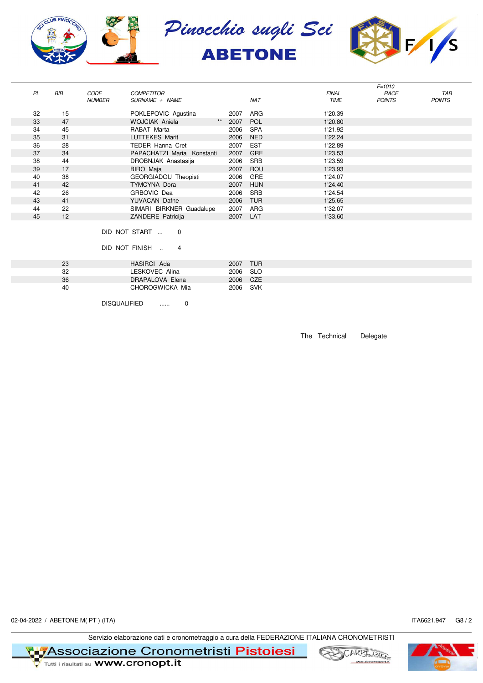

|           |            |               |                            |    |      |            |              | $F = 1010$    |               |
|-----------|------------|---------------|----------------------------|----|------|------------|--------------|---------------|---------------|
| <b>PL</b> | <b>BIB</b> | CODE          | <b>COMPETITOR</b>          |    |      |            | <b>FINAL</b> | RACE          | TAB           |
|           |            | <b>NUMBER</b> | SURNAME + NAME             |    |      | <b>NAT</b> | <b>TIME</b>  | <b>POINTS</b> | <b>POINTS</b> |
|           |            |               |                            |    |      |            |              |               |               |
| 32        | 15         |               | POKLEPOVIC Agustina        |    | 2007 | <b>ARG</b> | 1'20.39      |               |               |
| 33        | 47         |               | <b>WOJCIAK Aniela</b>      | ** | 2007 | POL        | 1'20.80      |               |               |
| 34        | 45         |               | RABAT Marta                |    | 2006 | <b>SPA</b> | 1'21.92      |               |               |
| 35        | 31         |               | <b>LUTTEKES Marit</b>      |    | 2006 | <b>NED</b> | 1'22.24      |               |               |
| 36        | 28         |               | <b>TEDER Hanna Cret</b>    |    | 2007 | <b>EST</b> | 1'22.89      |               |               |
| 37        | 34         |               | PAPACHATZI Maria Konstanti |    | 2007 | <b>GRE</b> | 1'23.53      |               |               |
| 38        | 44         |               | DROBNJAK Anastasija        |    | 2006 | <b>SRB</b> | 1'23.59      |               |               |
| 39        | 17         |               | <b>BIRO</b> Maja           |    | 2007 | ROU        | 1'23.93      |               |               |
| 40        | 38         |               | GEORGIADOU Theopisti       |    | 2006 | GRE        | 1'24.07      |               |               |
| 41        | 42         |               | <b>TYMCYNA Dora</b>        |    | 2007 | <b>HUN</b> | 1'24.40      |               |               |
| 42        | 26         |               | GRBOVIC Dea                |    | 2006 | <b>SRB</b> | 1'24.54      |               |               |
| 43        | 41         |               | <b>YUVACAN Dafne</b>       |    | 2006 | <b>TUR</b> | 1'25.65      |               |               |
| 44        | 22         |               | SIMARI BIRKNER Guadalupe   |    | 2007 | ARG        | 1'32.07      |               |               |
| 45        | 12         |               | ZANDERE Patricija          |    | 2007 | LAT        | 1'33.60      |               |               |

## DID NOT START ... 0

DID NOT FINISH .. 4

| 23 | HASIRCI Ada     | <b>TUR</b><br>2007 |  |
|----|-----------------|--------------------|--|
| 32 | LESKOVEC Alina  | - SLO<br>2006      |  |
| 36 | DRAPALOVA Elena | CZE<br>2006        |  |
| 40 | CHOROGWICKA Mia | SVK<br>2006        |  |
|    |                 |                    |  |

DISQUALIFIED ...... 0

The Technical Delegate

02-04-2022 / ABETONE M(PT) (ITA) G8 / 2

Servizio elaborazione dati e cronometraggio a cura della FEDERAZIONE ITALIANA CRONOMETRISTI

**T 17 Associazione Cronometristi Pistoiesi**<br>Te <sub>Tutti i risultati su</sub> www.cronopt.it





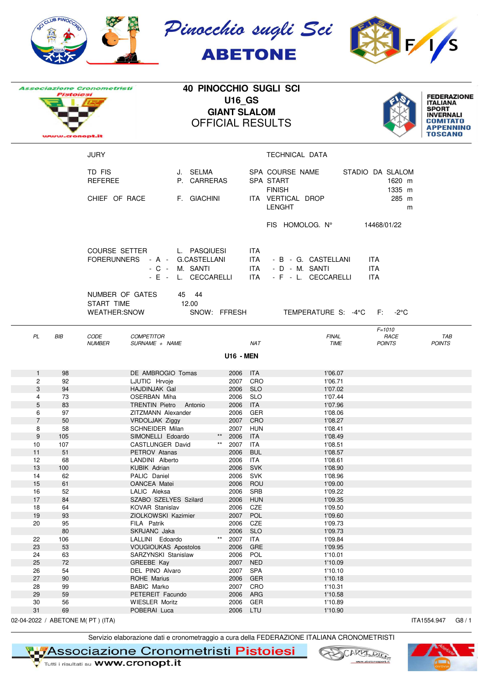|                                  | CLUB PINOC |                                                      |                                                                                 |              |                                      |                                | Pinocchio sugli Sci<br><b>ABETONE</b>                              |                                               |                                                                                      |
|----------------------------------|------------|------------------------------------------------------|---------------------------------------------------------------------------------|--------------|--------------------------------------|--------------------------------|--------------------------------------------------------------------|-----------------------------------------------|--------------------------------------------------------------------------------------|
|                                  | Pistolesi  | <b>Associazione Cronometristi</b><br>w.cronopt.it    |                                                                                 |              | <b>U16_GS</b><br><b>GIANT SLALOM</b> |                                | <b>40 PINOCCHIO SUGLI SCI</b><br><b>OFFICIAL RESULTS</b>           |                                               | <b>FEDERAZIONE</b><br><b>ITALIANA</b><br><b>SPORT</b><br><b>INVERNALI</b><br>TOSCANO |
|                                  |            | <b>JURY</b>                                          |                                                                                 |              |                                      |                                | TECHNICAL DATA                                                     |                                               |                                                                                      |
|                                  |            | TD FIS<br><b>REFEREE</b><br>CHIEF OF RACE            | J. SELMA<br>P. CARRERAS<br>F. GIACHINI                                          |              |                                      |                                | SPA COURSE NAME<br>SPA START<br><b>FINISH</b><br>ITA VERTICAL DROP | STADIO DA SLALOM<br>1620 m<br>1335 m<br>285 m |                                                                                      |
|                                  |            |                                                      |                                                                                 |              |                                      |                                | <b>LENGHT</b>                                                      | m                                             |                                                                                      |
|                                  |            |                                                      |                                                                                 |              |                                      |                                | FIS HOMOLOG. N°                                                    | 14468/01/22                                   |                                                                                      |
|                                  |            | <b>COURSE SETTER</b><br><b>FORERUNNERS</b>           | L. PASQIUESI<br>- A - G.CASTELLANI<br>M. SANTI<br>$-C -$<br>- E - L. CECCARELLI |              |                                      | ITA.<br>ITA I<br>ITA I<br>ITA. | - B - G. CASTELLANI<br>- D - M. SANTI<br>- F - L. CECCARELLI       | ITA.<br><b>ITA</b><br><b>ITA</b>              |                                                                                      |
|                                  |            | NUMBER OF GATES<br>START TIME<br><b>WEATHER:SNOW</b> | 45 44<br>12.00                                                                  |              | SNOW: FFRESH                         |                                | TEMPERATURE S: -4°C                                                | $F: -2^{\circ}C$                              |                                                                                      |
| PL                               | BIB        | <b>CODE</b><br><b>NUMBER</b>                         | <b>COMPETITOR</b><br>SURNAME + NAME                                             |              |                                      | <b>NAT</b>                     | <b>FINAL</b><br><b>TIME</b>                                        | $F = 1010$<br>RACE<br><b>POINTS</b>           | TAB<br><b>POINTS</b>                                                                 |
|                                  |            |                                                      |                                                                                 |              | <b>U16 - MEN</b>                     |                                |                                                                    |                                               |                                                                                      |
| $\mathbf{1}$                     | 98         |                                                      | DE AMBROGIO Tomas                                                               |              | 2006 ITA                             |                                | 1'06.07                                                            |                                               |                                                                                      |
| 2<br>3                           | 92<br>94   |                                                      | LJUTIC Hrvoje<br>HAJDINJAK Gal                                                  |              | 2006                                 | 2007 CRO<br><b>SLO</b>         | 1'06.71<br>1'07.02                                                 |                                               |                                                                                      |
| 4                                | 73         |                                                      | OSERBAN Miha                                                                    |              | 2006                                 | <b>SLO</b>                     | 1'07.44                                                            |                                               |                                                                                      |
| 5                                | 83         |                                                      | <b>TRENTIN Pietro</b><br>Antonio                                                |              | 2006                                 | <b>ITA</b>                     | 1'07.96                                                            |                                               |                                                                                      |
| 6                                | 97         |                                                      | ZITZMANN Alexander                                                              |              | 2006                                 | GER                            | 1'08.06                                                            |                                               |                                                                                      |
| $\overline{7}$<br>8              | 50<br>58   |                                                      | VRDOLJAK Ziggy<br><b>SCHNEIDER Milan</b>                                        |              |                                      | 2007 CRO<br>2007 HUN           | 1'08.27<br>1'08.41                                                 |                                               |                                                                                      |
| $\boldsymbol{9}$                 | 105        |                                                      | SIMONELLI Edoardo                                                               | $***$        | 2006                                 | ITA                            | 1'08.49                                                            |                                               |                                                                                      |
| 10                               | 107        |                                                      | CASTLUNGER David                                                                | $\star\star$ | 2007                                 | ITA                            | 1'08.51                                                            |                                               |                                                                                      |
| 11                               | 51         |                                                      | PETROV Atanas                                                                   |              | 2006                                 | <b>BUL</b>                     | 1'08.57                                                            |                                               |                                                                                      |
| 12                               | 68         |                                                      | LANDINI Alberto                                                                 |              | 2006                                 | ITA                            | 1'08.61<br>1'08.90                                                 |                                               |                                                                                      |
| 13<br>14                         | 100<br>62  |                                                      | <b>KUBIK Adrian</b><br>PALIC Daniel                                             |              | 2006<br>2006                         | <b>SVK</b><br>SVK              | 1'08.96                                                            |                                               |                                                                                      |
| 15                               | 61         |                                                      | OANCEA Matei                                                                    |              | 2006                                 | ROU                            | 1'09.00                                                            |                                               |                                                                                      |
| 16                               | 52         |                                                      | LALIC Aleksa                                                                    |              | 2006                                 | SRB                            | 1'09.22                                                            |                                               |                                                                                      |
| 17                               | 84         |                                                      | SZABO SZELYES Szilard                                                           |              | 2006                                 | HUN                            | 1'09.35                                                            |                                               |                                                                                      |
| 18<br>19                         | 64<br>93   |                                                      | KOVAR Stanislav<br>ZIOLKOWSKI Kazimier                                          |              | 2006<br>2007                         | CZE<br>POL                     | 1'09.50<br>1'09.60                                                 |                                               |                                                                                      |
| 20                               | 95         |                                                      | FILA Patrik                                                                     |              | 2006                                 | CZE                            | 1'09.73                                                            |                                               |                                                                                      |
|                                  | 80         |                                                      | SKRJANC Jaka                                                                    |              | 2006                                 | <b>SLO</b>                     | 1'09.73                                                            |                                               |                                                                                      |
| 22                               | 106        |                                                      | LALLINI Edoardo                                                                 | $***$        | 2007                                 | <b>ITA</b>                     | 1'09.84                                                            |                                               |                                                                                      |
| 23<br>24                         | 53<br>63   |                                                      | <b>VOUGIOUKAS Apostolos</b><br>SARZYNSKI Stanislaw                              |              | 2006<br>2006                         | GRE<br>POL                     | 1'09.95<br>1'10.01                                                 |                                               |                                                                                      |
| 25                               | 72         |                                                      | GREEBE Kay                                                                      |              | 2007                                 | <b>NED</b>                     | 1'10.09                                                            |                                               |                                                                                      |
| 26                               | 54         |                                                      | DEL PINO Alvaro                                                                 |              |                                      | 2007 SPA                       | 1'10.10                                                            |                                               |                                                                                      |
| 27                               | 90         |                                                      | ROHE Marius                                                                     |              | 2006                                 | GER                            | 1'10.18                                                            |                                               |                                                                                      |
| 28                               | 99         |                                                      | <b>BABIC Marko</b>                                                              |              | 2007                                 | CRO                            | 1'10.31                                                            |                                               |                                                                                      |
| 29<br>30                         | 59<br>56   |                                                      | PETEREIT Facundo<br><b>WIESLER Moritz</b>                                       |              | 2006<br>2006                         | ARG<br>GER                     | 1'10.58<br>1'10.89                                                 |                                               |                                                                                      |
| 31                               | 69         |                                                      | POBERAI Luca                                                                    |              |                                      | 2006 LTU                       | 1'10.90                                                            |                                               |                                                                                      |
| 02-04-2022 / ABETONE M(PT) (ITA) |            |                                                      |                                                                                 |              |                                      |                                |                                                                    |                                               | ITA1554.947<br>G8/1                                                                  |

Servizio elaborazione dati e cronometraggio a cura della FEDERAZIONE ITALIANA CRONOMETRISTI